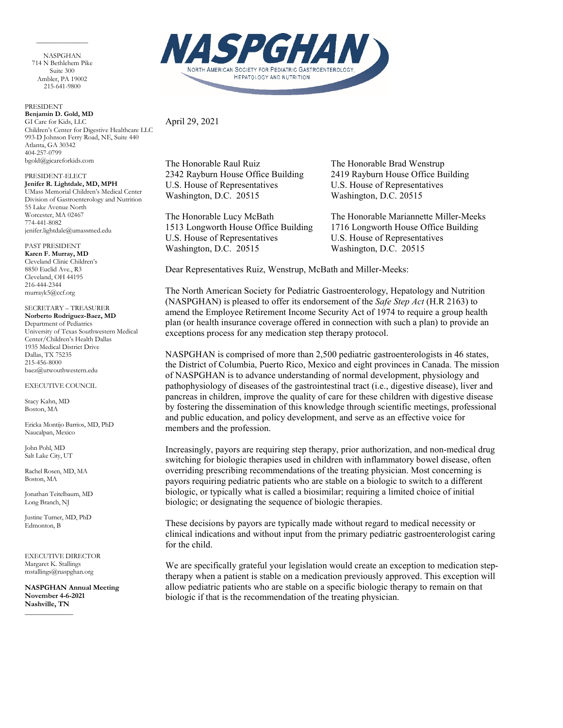NASPGHAN 714 N Bethlehem Pike Suite 300 Ambler, PA 19002 215-641-9800

 $\overline{\phantom{a}}$  . The contract of the contract of  $\overline{\phantom{a}}$ 

PRESIDENT **Benjamin D. Gold, MD** GI Care for Kids, LLC Children's Center for Digestive Healthcare LLC 993-D Johnson Ferry Road, NE, Suite 440 Atlanta, GA 30342 404-257-0799 bgold@gicareforkids.com

PRESIDENT-ELECT **Jenifer R. Lightdale, MD, MPH** UMass Memorial Children's Medical Center Division of Gastroenterology and Nutrition 55 Lake Avenue North Worcester, MA 02467 774-441-8082 jenifer.lightdale@umassmed.edu

PAST PRESIDENT **Karen F. Murray, MD** Cleveland Clinic Children's 8850 Euclid Ave., R3 Cleveland, OH 44195 216-444-2344 murrayk5@ccf.org

SECRETARY – TREASURER **Norberto Rodriguez-Baez, MD** Department of Pediatrics University of Texas Southwestern Medical Center/Children's Health Dallas 1935 Medical District Drive Dallas, TX 75235 215-456-8000 baez@utwouthwestern.edu

EXECUTIVE COUNCIL

Stacy Kahn, MD Boston, MA

Ericka Montijo Barrios, MD, PhD Naucalpan, Mexico

John Pohl, MD Salt Lake City, UT

Rachel Rosen, MD, MA Boston, MA

Jonathan Teitelbaum, MD Long Branch, NJ

Justine Turner, MD, PhD Edmonton, B

EXECUTIVE DIRECTOR Margaret K. Stallings mstallings@naspghan.org

 $\overline{\phantom{a}}$ 

**NASPGHAN Annual Meeting November 4-6-2021 Nashville, TN**



April 29, 2021

The Honorable Raul Ruiz The Honorable Brad Wenstrup U.S. House of Representatives U.S. House of Representatives Washington, D.C. 20515 Washington, D.C. 20515

U.S. House of Representatives U.S. House of Representatives Washington, D.C. 20515 Washington, D.C. 20515

2342 Rayburn House Office Building 2419 Rayburn House Office Building

The Honorable Lucy McBath The Honorable Mariannette Miller-Meeks 1513 Longworth House Office Building 1716 Longworth House Office Building

Dear Representatives Ruiz, Wenstrup, McBath and Miller-Meeks:

The North American Society for Pediatric Gastroenterology, Hepatology and Nutrition (NASPGHAN) is pleased to offer its endorsement of the *Safe Step Act* (H.R 2163) to amend the Employee Retirement Income Security Act of 1974 to require a group health plan (or health insurance coverage offered in connection with such a plan) to provide an exceptions process for any medication step therapy protocol.

NASPGHAN is comprised of more than 2,500 pediatric gastroenterologists in 46 states, the District of Columbia, Puerto Rico, Mexico and eight provinces in Canada. The mission of NASPGHAN is to advance understanding of normal development, physiology and pathophysiology of diseases of the gastrointestinal tract (i.e., digestive disease), liver and pancreas in children, improve the quality of care for these children with digestive disease by fostering the dissemination of this knowledge through scientific meetings, professional and public education, and policy development, and serve as an effective voice for members and the profession.

Increasingly, payors are requiring step therapy, prior authorization, and non-medical drug switching for biologic therapies used in children with inflammatory bowel disease, often overriding prescribing recommendations of the treating physician. Most concerning is payors requiring pediatric patients who are stable on a biologic to switch to a different biologic, or typically what is called a biosimilar; requiring a limited choice of initial biologic; or designating the sequence of biologic therapies.

These decisions by payors are typically made without regard to medical necessity or clinical indications and without input from the primary pediatric gastroenterologist caring for the child.

We are specifically grateful your legislation would create an exception to medication steptherapy when a patient is stable on a medication previously approved. This exception will allow pediatric patients who are stable on a specific biologic therapy to remain on that biologic if that is the recommendation of the treating physician.